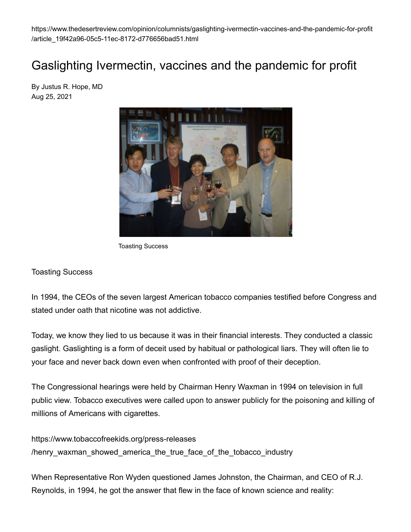https://www.thedesertreview.com/opinion/columnists/gaslighting-ivermectin-vaccines-and-the-pandemic-for-profit /article\_19f42a96-05c5-11ec-8172-d776656bad51.html

# Gaslighting Ivermectin, vaccines and the pandemic for profit

By Justus R. Hope, MD Aug 25, 2021



Toasting Success

#### Toasting Success

In 1994, the CEOs of the seven largest American tobacco companies testified before Congress and stated under oath that nicotine was not addictive.

Today, we know they lied to us because it was in their financial interests. They conducted a classic gaslight. Gaslighting is a form of deceit used by habitual or pathological liars. They will often lie to your face and never back down even when confronted with proof of their deception.

The Congressional hearings were held by Chairman Henry Waxman in 1994 on television in full public view. Tobacco executives were called upon to answer publicly for the poisoning and killing of millions of Americans with cigarettes.

https://www.tobaccofreekids.org/press-releases /henry waxman showed america the true face of the tobacco industry

When Representative Ron Wyden questioned James Johnston, the Chairman, and CEO of R.J. Reynolds, in 1994, he got the answer that flew in the face of known science and reality: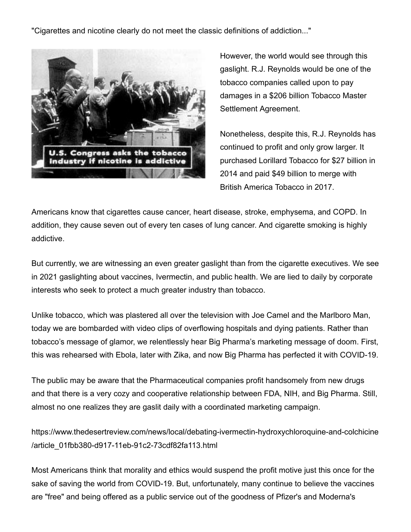"Cigarettes and nicotine clearly do not meet the classic definitions of addiction..."



However, the world would see through this gaslight. R.J. Reynolds would be one of the tobacco companies called upon to pay damages in a \$206 billion Tobacco Master Settlement Agreement.

Nonetheless, despite this, R.J. Reynolds has continued to profit and only grow larger. It purchased Lorillard Tobacco for \$27 billion in 2014 and paid \$49 billion to merge with British America Tobacco in 2017.

Americans know that cigarettes cause cancer, heart disease, stroke, emphysema, and COPD. In addition, they cause seven out of every ten cases of lung cancer. And cigarette smoking is highly addictive.

But currently, we are witnessing an even greater gaslight than from the cigarette executives. We see in 2021 gaslighting about vaccines, Ivermectin, and public health. We are lied to daily by corporate interests who seek to protect a much greater industry than tobacco.

Unlike tobacco, which was plastered all over the television with Joe Camel and the Marlboro Man, today we are bombarded with video clips of overflowing hospitals and dying patients. Rather than tobacco's message of glamor, we relentlessly hear Big Pharma's marketing message of doom. First, this was rehearsed with Ebola, later with Zika, and now Big Pharma has perfected it with COVID-19.

The public may be aware that the Pharmaceutical companies profit handsomely from new drugs and that there is a very cozy and cooperative relationship between FDA, NIH, and Big Pharma. Still, almost no one realizes they are gaslit daily with a coordinated marketing campaign.

https://www.thedesertreview.com/news/local/debating-ivermectin-hydroxychloroquine-and-colchicine /article\_01fbb380-d917-11eb-91c2-73cdf82fa113.html

Most Americans think that morality and ethics would suspend the profit motive just this once for the sake of saving the world from COVID-19. But, unfortunately, many continue to believe the vaccines are "free" and being offered as a public service out of the goodness of Pfizer's and Moderna's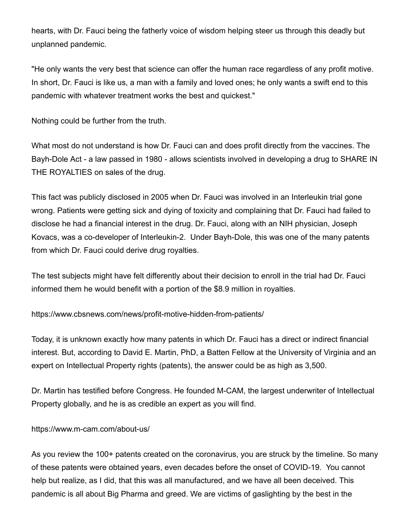hearts, with Dr. Fauci being the fatherly voice of wisdom helping steer us through this deadly but unplanned pandemic.

"He only wants the very best that science can offer the human race regardless of any profit motive. In short, Dr. Fauci is like us, a man with a family and loved ones; he only wants a swift end to this pandemic with whatever treatment works the best and quickest."

Nothing could be further from the truth.

What most do not understand is how Dr. Fauci can and does profit directly from the vaccines. The Bayh-Dole Act - a law passed in 1980 - allows scientists involved in developing a drug to SHARE IN THE ROYALTIES on sales of the drug.

This fact was publicly disclosed in 2005 when Dr. Fauci was involved in an Interleukin trial gone wrong. Patients were getting sick and dying of toxicity and complaining that Dr. Fauci had failed to disclose he had a financial interest in the drug. Dr. Fauci, along with an NIH physician, Joseph Kovacs, was a co-developer of Interleukin-2. Under Bayh-Dole, this was one of the many patents from which Dr. Fauci could derive drug royalties.

The test subjects might have felt differently about their decision to enroll in the trial had Dr. Fauci informed them he would benefit with a portion of the \$8.9 million in royalties.

https://www.cbsnews.com/news/profit-motive-hidden-from-patients/

Today, it is unknown exactly how many patents in which Dr. Fauci has a direct or indirect financial interest. But, according to David E. Martin, PhD, a Batten Fellow at the University of Virginia and an expert on Intellectual Property rights (patents), the answer could be as high as 3,500.

Dr. Martin has testified before Congress. He founded M-CAM, the largest underwriter of Intellectual Property globally, and he is as credible an expert as you will find.

https://www.m-cam.com/about-us/

As you review the 100+ patents created on the coronavirus, you are struck by the timeline. So many of these patents were obtained years, even decades before the onset of COVID-19. You cannot help but realize, as I did, that this was all manufactured, and we have all been deceived. This pandemic is all about Big Pharma and greed. We are victims of gaslighting by the best in the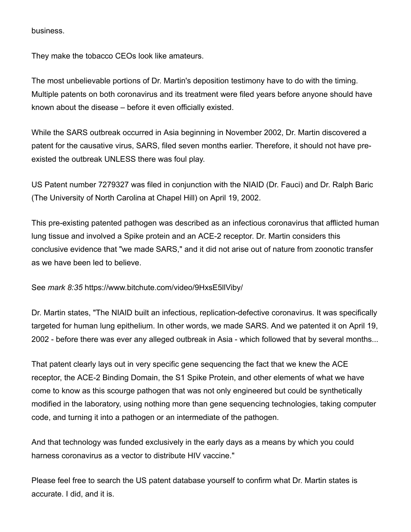business.

They make the tobacco CEOs look like amateurs.

The most unbelievable portions of Dr. Martin's deposition testimony have to do with the timing. Multiple patents on both coronavirus and its treatment were filed years before anyone should have known about the disease – before it even officially existed.

While the SARS outbreak occurred in Asia beginning in November 2002, Dr. Martin discovered a patent for the causative virus, SARS, filed seven months earlier. Therefore, it should not have preexisted the outbreak UNLESS there was foul play.

US Patent number 7279327 was filed in conjunction with the NIAID (Dr. Fauci) and Dr. Ralph Baric (The University of North Carolina at Chapel Hill) on April 19, 2002.

This pre-existing patented pathogen was described as an infectious coronavirus that afflicted human lung tissue and involved a Spike protein and an ACE-2 receptor. Dr. Martin considers this conclusive evidence that "we made SARS," and it did not arise out of nature from zoonotic transfer as we have been led to believe.

See *mark 8:35* https://www.bitchute.com/video/9HxsE5llViby/

Dr. Martin states, "The NIAID built an infectious, replication-defective coronavirus. It was specifically targeted for human lung epithelium. In other words, we made SARS. And we patented it on April 19, 2002 - before there was ever any alleged outbreak in Asia - which followed that by several months...

That patent clearly lays out in very specific gene sequencing the fact that we knew the ACE receptor, the ACE-2 Binding Domain, the S1 Spike Protein, and other elements of what we have come to know as this scourge pathogen that was not only engineered but could be synthetically modified in the laboratory, using nothing more than gene sequencing technologies, taking computer code, and turning it into a pathogen or an intermediate of the pathogen.

And that technology was funded exclusively in the early days as a means by which you could harness coronavirus as a vector to distribute HIV vaccine."

Please feel free to search the US patent database yourself to confirm what Dr. Martin states is accurate. I did, and it is.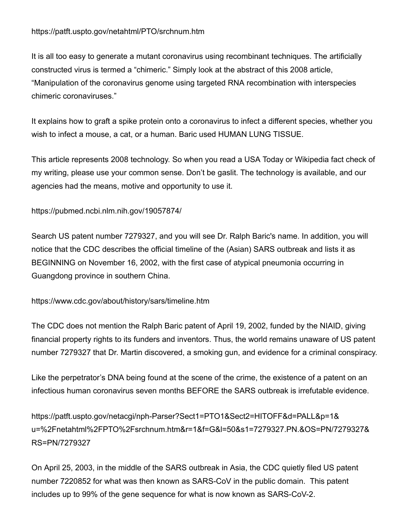# https://patft.uspto.gov/netahtml/PTO/srchnum.htm

It is all too easy to generate a mutant coronavirus using recombinant techniques. The artificially constructed virus is termed a "chimeric." Simply look at the abstract of this 2008 article, "Manipulation of the coronavirus genome using targeted RNA recombination with interspecies chimeric coronaviruses."

It explains how to graft a spike protein onto a coronavirus to infect a different species, whether you wish to infect a mouse, a cat, or a human. Baric used HUMAN LUNG TISSUE.

This article represents 2008 technology. So when you read a USA Today or Wikipedia fact check of my writing, please use your common sense. Don't be gaslit. The technology is available, and our agencies had the means, motive and opportunity to use it.

https://pubmed.ncbi.nlm.nih.gov/19057874/

Search US patent number 7279327, and you will see Dr. Ralph Baric's name. In addition, you will notice that the CDC describes the official timeline of the (Asian) SARS outbreak and lists it as BEGINNING on November 16, 2002, with the first case of atypical pneumonia occurring in Guangdong province in southern China.

https://www.cdc.gov/about/history/sars/timeline.htm

The CDC does not mention the Ralph Baric patent of April 19, 2002, funded by the NIAID, giving financial property rights to its funders and inventors. Thus, the world remains unaware of US patent number 7279327 that Dr. Martin discovered, a smoking gun, and evidence for a criminal conspiracy.

Like the perpetrator's DNA being found at the scene of the crime, the existence of a patent on an infectious human coronavirus seven months BEFORE the SARS outbreak is irrefutable evidence.

https://patft.uspto.gov/netacgi/nph-Parser?Sect1=PTO1&Sect2=HITOFF&d=PALL&p=1& u=%2Fnetahtml%2FPTO%2Fsrchnum.htm&r=1&f=G&l=50&s1=7279327.PN.&OS=PN/7279327& RS=PN/7279327

On April 25, 2003, in the middle of the SARS outbreak in Asia, the CDC quietly filed US patent number 7220852 for what was then known as SARS-CoV in the public domain. This patent includes up to 99% of the gene sequence for what is now known as SARS-CoV-2.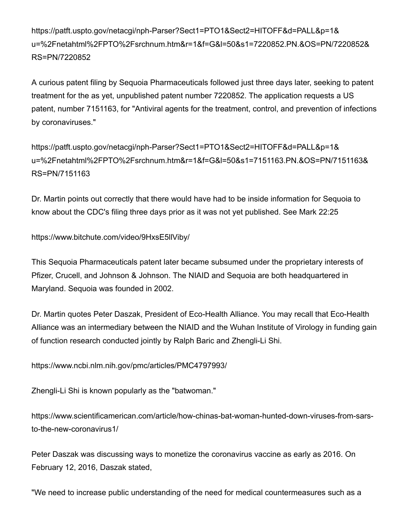https://patft.uspto.gov/netacgi/nph-Parser?Sect1=PTO1&Sect2=HITOFF&d=PALL&p=1& u=%2Fnetahtml%2FPTO%2Fsrchnum.htm&r=1&f=G&l=50&s1=7220852.PN.&OS=PN/7220852& RS=PN/7220852

A curious patent filing by Sequoia Pharmaceuticals followed just three days later, seeking to patent treatment for the as yet, unpublished patent number 7220852. The application requests a US patent, number 7151163, for "Antiviral agents for the treatment, control, and prevention of infections by coronaviruses."

https://patft.uspto.gov/netacgi/nph-Parser?Sect1=PTO1&Sect2=HITOFF&d=PALL&p=1& u=%2Fnetahtml%2FPTO%2Fsrchnum.htm&r=1&f=G&l=50&s1=7151163.PN.&OS=PN/7151163& RS=PN/7151163

Dr. Martin points out correctly that there would have had to be inside information for Sequoia to know about the CDC's filing three days prior as it was not yet published. See Mark 22:25

https://www.bitchute.com/video/9HxsE5llViby/

This Sequoia Pharmaceuticals patent later became subsumed under the proprietary interests of Pfizer, Crucell, and Johnson & Johnson. The NIAID and Sequoia are both headquartered in Maryland. Sequoia was founded in 2002.

Dr. Martin quotes Peter Daszak, President of Eco-Health Alliance. You may recall that Eco-Health Alliance was an intermediary between the NIAID and the Wuhan Institute of Virology in funding gain of function research conducted jointly by Ralph Baric and Zhengli-Li Shi.

https://www.ncbi.nlm.nih.gov/pmc/articles/PMC4797993/

Zhengli-Li Shi is known popularly as the "batwoman."

https://www.scientificamerican.com/article/how-chinas-bat-woman-hunted-down-viruses-from-sarsto-the-new-coronavirus1/

Peter Daszak was discussing ways to monetize the coronavirus vaccine as early as 2016. On February 12, 2016, Daszak stated,

"We need to increase public understanding of the need for medical countermeasures such as a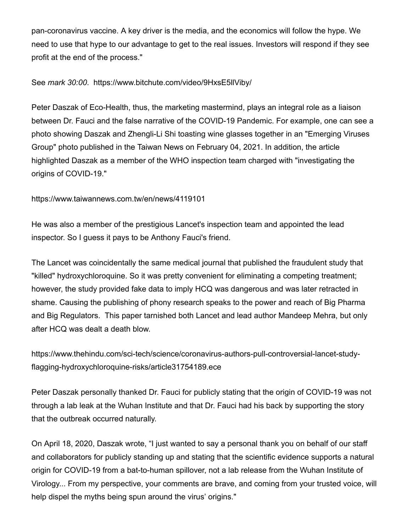pan-coronavirus vaccine. A key driver is the media, and the economics will follow the hype. We need to use that hype to our advantage to get to the real issues. Investors will respond if they see profit at the end of the process."

#### See *mark 30:00*. https://www.bitchute.com/video/9HxsE5llViby/

Peter Daszak of Eco-Health, thus, the marketing mastermind, plays an integral role as a liaison between Dr. Fauci and the false narrative of the COVID-19 Pandemic. For example, one can see a photo showing Daszak and Zhengli-Li Shi toasting wine glasses together in an "Emerging Viruses Group" photo published in the Taiwan News on February 04, 2021. In addition, the article highlighted Daszak as a member of the WHO inspection team charged with "investigating the origins of COVID-19."

### https://www.taiwannews.com.tw/en/news/4119101

He was also a member of the prestigious Lancet's inspection team and appointed the lead inspector. So I guess it pays to be Anthony Fauci's friend.

The Lancet was coincidentally the same medical journal that published the fraudulent study that "killed" hydroxychloroquine. So it was pretty convenient for eliminating a competing treatment; however, the study provided fake data to imply HCQ was dangerous and was later retracted in shame. Causing the publishing of phony research speaks to the power and reach of Big Pharma and Big Regulators. This paper tarnished both Lancet and lead author Mandeep Mehra, but only after HCQ was dealt a death blow.

https://www.thehindu.com/sci-tech/science/coronavirus-authors-pull-controversial-lancet-studyflagging-hydroxychloroquine-risks/article31754189.ece

Peter Daszak personally thanked Dr. Fauci for publicly stating that the origin of COVID-19 was not through a lab leak at the Wuhan Institute and that Dr. Fauci had his back by supporting the story that the outbreak occurred naturally.

On April 18, 2020, Daszak wrote, "I just wanted to say a personal thank you on behalf of our staff and collaborators for publicly standing up and stating that the scientific evidence supports a natural origin for COVID-19 from a bat-to-human spillover, not a lab release from the Wuhan Institute of Virology... From my perspective, your comments are brave, and coming from your trusted voice, will help dispel the myths being spun around the virus' origins."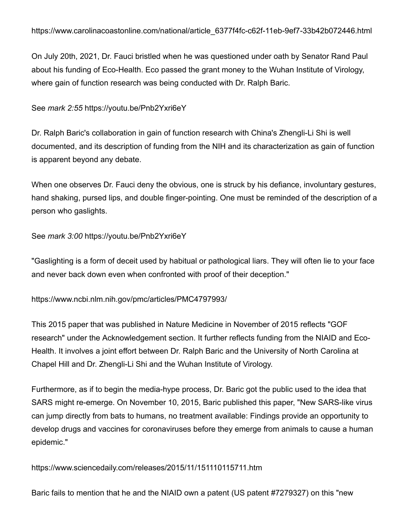On July 20th, 2021, Dr. Fauci bristled when he was questioned under oath by Senator Rand Paul about his funding of Eco-Health. Eco passed the grant money to the Wuhan Institute of Virology, where gain of function research was being conducted with Dr. Ralph Baric.

# See *mark 2:55* https://youtu.be/Pnb2Yxri6eY

Dr. Ralph Baric's collaboration in gain of function research with China's Zhengli-Li Shi is well documented, and its description of funding from the NIH and its characterization as gain of function is apparent beyond any debate.

When one observes Dr. Fauci deny the obvious, one is struck by his defiance, involuntary gestures, hand shaking, pursed lips, and double finger-pointing. One must be reminded of the description of a person who gaslights.

# See *mark 3:00* https://youtu.be/Pnb2Yxri6eY

"Gaslighting is a form of deceit used by habitual or pathological liars. They will often lie to your face and never back down even when confronted with proof of their deception."

https://www.ncbi.nlm.nih.gov/pmc/articles/PMC4797993/

This 2015 paper that was published in Nature Medicine in November of 2015 reflects "GOF research" under the Acknowledgement section. It further reflects funding from the NIAID and Eco-Health. It involves a joint effort between Dr. Ralph Baric and the University of North Carolina at Chapel Hill and Dr. Zhengli-Li Shi and the Wuhan Institute of Virology.

Furthermore, as if to begin the media-hype process, Dr. Baric got the public used to the idea that SARS might re-emerge. On November 10, 2015, Baric published this paper, "New SARS-like virus can jump directly from bats to humans, no treatment available: Findings provide an opportunity to develop drugs and vaccines for coronaviruses before they emerge from animals to cause a human epidemic."

https://www.sciencedaily.com/releases/2015/11/151110115711.htm

Baric fails to mention that he and the NIAID own a patent (US patent #7279327) on this "new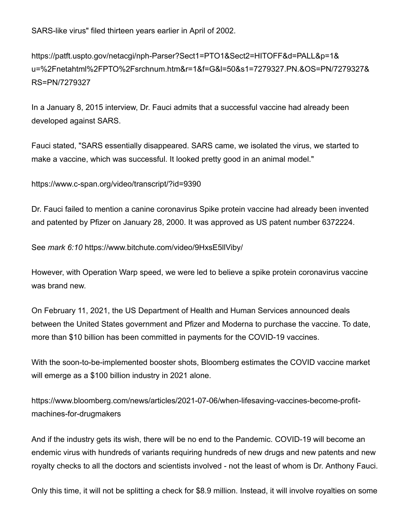SARS-like virus" filed thirteen years earlier in April of 2002.

https://patft.uspto.gov/netacgi/nph-Parser?Sect1=PTO1&Sect2=HITOFF&d=PALL&p=1& u=%2Fnetahtml%2FPTO%2Fsrchnum.htm&r=1&f=G&l=50&s1=7279327.PN.&OS=PN/7279327& RS=PN/7279327

In a January 8, 2015 interview, Dr. Fauci admits that a successful vaccine had already been developed against SARS.

Fauci stated, "SARS essentially disappeared. SARS came, we isolated the virus, we started to make a vaccine, which was successful. It looked pretty good in an animal model."

https://www.c-span.org/video/transcript/?id=9390

Dr. Fauci failed to mention a canine coronavirus Spike protein vaccine had already been invented and patented by Pfizer on January 28, 2000. It was approved as US patent number 6372224.

See *mark 6:10* https://www.bitchute.com/video/9HxsE5llViby/

However, with Operation Warp speed, we were led to believe a spike protein coronavirus vaccine was brand new

On February 11, 2021, the US Department of Health and Human Services announced deals between the United States government and Pfizer and Moderna to purchase the vaccine. To date, more than \$10 billion has been committed in payments for the COVID-19 vaccines.

With the soon-to-be-implemented booster shots, Bloomberg estimates the COVID vaccine market will emerge as a \$100 billion industry in 2021 alone.

https://www.bloomberg.com/news/articles/2021-07-06/when-lifesaving-vaccines-become-profitmachines-for-drugmakers

And if the industry gets its wish, there will be no end to the Pandemic. COVID-19 will become an endemic virus with hundreds of variants requiring hundreds of new drugs and new patents and new royalty checks to all the doctors and scientists involved - not the least of whom is Dr. Anthony Fauci.

Only this time, it will not be splitting a check for \$8.9 million. Instead, it will involve royalties on some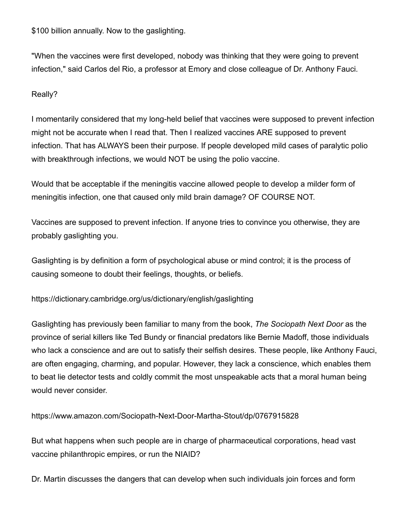\$100 billion annually. Now to the gaslighting.

"When the vaccines were first developed, nobody was thinking that they were going to prevent infection," said Carlos del Rio, a professor at Emory and close colleague of Dr. Anthony Fauci.

## Really?

I momentarily considered that my long-held belief that vaccines were supposed to prevent infection might not be accurate when I read that. Then I realized vaccines ARE supposed to prevent infection. That has ALWAYS been their purpose. If people developed mild cases of paralytic polio with breakthrough infections, we would NOT be using the polio vaccine.

Would that be acceptable if the meningitis vaccine allowed people to develop a milder form of meningitis infection, one that caused only mild brain damage? OF COURSE NOT.

Vaccines are supposed to prevent infection. If anyone tries to convince you otherwise, they are probably gaslighting you.

Gaslighting is by definition a form of psychological abuse or mind control; it is the process of causing someone to doubt their feelings, thoughts, or beliefs.

https://dictionary.cambridge.org/us/dictionary/english/gaslighting

Gaslighting has previously been familiar to many from the book, *The Sociopath Next Door* as the province of serial killers like Ted Bundy or financial predators like Bernie Madoff, those individuals who lack a conscience and are out to satisfy their selfish desires. These people, like Anthony Fauci, are often engaging, charming, and popular. However, they lack a conscience, which enables them to beat lie detector tests and coldly commit the most unspeakable acts that a moral human being would never consider.

https://www.amazon.com/Sociopath-Next-Door-Martha-Stout/dp/0767915828

But what happens when such people are in charge of pharmaceutical corporations, head vast vaccine philanthropic empires, or run the NIAID?

Dr. Martin discusses the dangers that can develop when such individuals join forces and form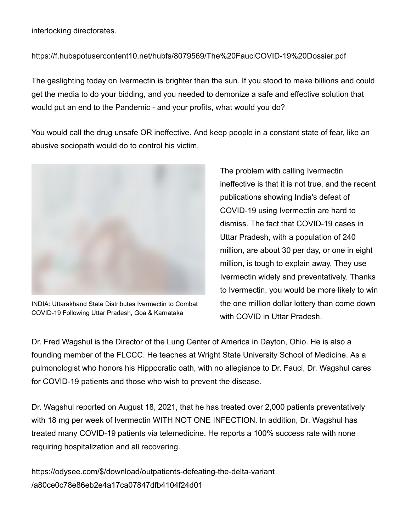interlocking directorates.

## https://f.hubspotusercontent10.net/hubfs/8079569/The%20FauciCOVID-19%20Dossier.pdf

The gaslighting today on Ivermectin is brighter than the sun. If you stood to make billions and could get the media to do your bidding, and you needed to demonize a safe and effective solution that would put an end to the Pandemic - and your profits, what would you do?

You would call the drug unsafe OR ineffective. And keep people in a constant state of fear, like an abusive sociopath would do to control his victim.



INDIA: Uttarakhand State Distributes Ivermectin to Combat COVID-19 Following Uttar Pradesh, Goa & Karnataka

The problem with calling Ivermectin ineffective is that it is not true, and the recent publications showing India's defeat of COVID-19 using Ivermectin are hard to dismiss. The fact that COVID-19 cases in Uttar Pradesh, with a population of 240 million, are about 30 per day, or one in eight million, is tough to explain away. They use Ivermectin widely and preventatively. Thanks to Ivermectin, you would be more likely to win the one million dollar lottery than come down with COVID in Uttar Pradesh.

Dr. Fred Wagshul is the Director of the Lung Center of America in Dayton, Ohio. He is also a founding member of the FLCCC. He teaches at Wright State University School of Medicine. As a pulmonologist who honors his Hippocratic oath, with no allegiance to Dr. Fauci, Dr. Wagshul cares for COVID-19 patients and those who wish to prevent the disease.

Dr. Wagshul reported on August 18, 2021, that he has treated over 2,000 patients preventatively with 18 mg per week of Ivermectin WITH NOT ONE INFECTION. In addition, Dr. Wagshul has treated many COVID-19 patients via telemedicine. He reports a 100% success rate with none requiring hospitalization and all recovering.

https://odysee.com/\$/download/outpatients-defeating-the-delta-variant /a80ce0c78e86eb2e4a17ca07847dfb4104f24d01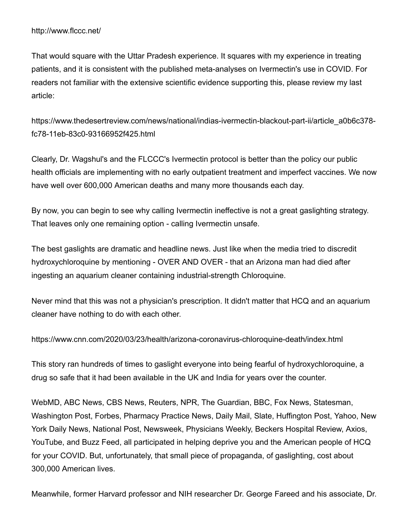That would square with the Uttar Pradesh experience. It squares with my experience in treating patients, and it is consistent with the published meta-analyses on Ivermectin's use in COVID. For readers not familiar with the extensive scientific evidence supporting this, please review my last article:

https://www.thedesertreview.com/news/national/indias-ivermectin-blackout-part-ii/article\_a0b6c378 fc78-11eb-83c0-93166952f425.html

Clearly, Dr. Wagshul's and the FLCCC's Ivermectin protocol is better than the policy our public health officials are implementing with no early outpatient treatment and imperfect vaccines. We now have well over 600,000 American deaths and many more thousands each day.

By now, you can begin to see why calling Ivermectin ineffective is not a great gaslighting strategy. That leaves only one remaining option - calling Ivermectin unsafe.

The best gaslights are dramatic and headline news. Just like when the media tried to discredit hydroxychloroquine by mentioning - OVER AND OVER - that an Arizona man had died after ingesting an aquarium cleaner containing industrial-strength Chloroquine.

Never mind that this was not a physician's prescription. It didn't matter that HCQ and an aquarium cleaner have nothing to do with each other.

https://www.cnn.com/2020/03/23/health/arizona-coronavirus-chloroquine-death/index.html

This story ran hundreds of times to gaslight everyone into being fearful of hydroxychloroquine, a drug so safe that it had been available in the UK and India for years over the counter.

WebMD, ABC News, CBS News, Reuters, NPR, The Guardian, BBC, Fox News, Statesman, Washington Post, Forbes, Pharmacy Practice News, Daily Mail, Slate, Huffington Post, Yahoo, New York Daily News, National Post, Newsweek, Physicians Weekly, Beckers Hospital Review, Axios, YouTube, and Buzz Feed, all participated in helping deprive you and the American people of HCQ for your COVID. But, unfortunately, that small piece of propaganda, of gaslighting, cost about 300,000 American lives.

Meanwhile, former Harvard professor and NIH researcher Dr. George Fareed and his associate, Dr.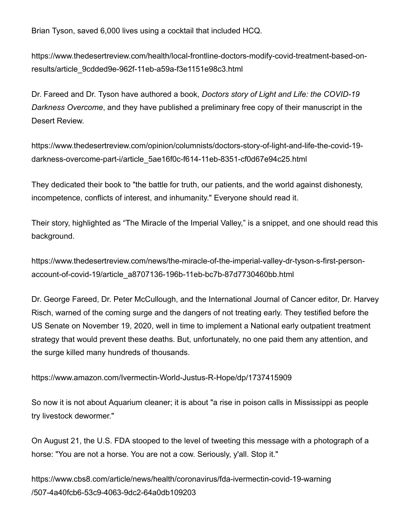Brian Tyson, saved 6,000 lives using a cocktail that included HCQ.

https://www.thedesertreview.com/health/local-frontline-doctors-modify-covid-treatment-based-onresults/article\_9cdded9e-962f-11eb-a59a-f3e1151e98c3.html

Dr. Fareed and Dr. Tyson have authored a book, *Doctors story of Light and Life: the COVID-19 Darkness Overcome*, and they have published a preliminary free copy of their manuscript in the Desert Review.

https://www.thedesertreview.com/opinion/columnists/doctors-story-of-light-and-life-the-covid-19 darkness-overcome-part-i/article\_5ae16f0c-f614-11eb-8351-cf0d67e94c25.html

They dedicated their book to "the battle for truth, our patients, and the world against dishonesty, incompetence, conflicts of interest, and inhumanity." Everyone should read it.

Their story, highlighted as "The Miracle of the Imperial Valley," is a snippet, and one should read this background.

https://www.thedesertreview.com/news/the-miracle-of-the-imperial-valley-dr-tyson-s-first-personaccount-of-covid-19/article\_a8707136-196b-11eb-bc7b-87d7730460bb.html

Dr. George Fareed, Dr. Peter McCullough, and the International Journal of Cancer editor, Dr. Harvey Risch, warned of the coming surge and the dangers of not treating early. They testified before the US Senate on November 19, 2020, well in time to implement a National early outpatient treatment strategy that would prevent these deaths. But, unfortunately, no one paid them any attention, and the surge killed many hundreds of thousands.

https://www.amazon.com/Ivermectin-World-Justus-R-Hope/dp/1737415909

So now it is not about Aquarium cleaner; it is about "a rise in poison calls in Mississippi as people try livestock dewormer."

On August 21, the U.S. FDA stooped to the level of tweeting this message with a photograph of a horse: "You are not a horse. You are not a cow. Seriously, y'all. Stop it."

https://www.cbs8.com/article/news/health/coronavirus/fda-ivermectin-covid-19-warning /507-4a40fcb6-53c9-4063-9dc2-64a0db109203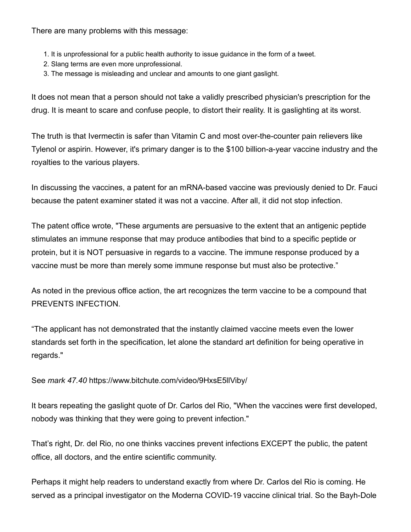There are many problems with this message:

- 1. It is unprofessional for a public health authority to issue guidance in the form of a tweet.
- 2. Slang terms are even more unprofessional.
- 3. The message is misleading and unclear and amounts to one giant gaslight.

It does not mean that a person should not take a validly prescribed physician's prescription for the drug. It is meant to scare and confuse people, to distort their reality. It is gaslighting at its worst.

The truth is that Ivermectin is safer than Vitamin C and most over-the-counter pain relievers like Tylenol or aspirin. However, it's primary danger is to the \$100 billion-a-year vaccine industry and the royalties to the various players.

In discussing the vaccines, a patent for an mRNA-based vaccine was previously denied to Dr. Fauci because the patent examiner stated it was not a vaccine. After all, it did not stop infection.

The patent office wrote, "These arguments are persuasive to the extent that an antigenic peptide stimulates an immune response that may produce antibodies that bind to a specific peptide or protein, but it is NOT persuasive in regards to a vaccine. The immune response produced by a vaccine must be more than merely some immune response but must also be protective."

As noted in the previous office action, the art recognizes the term vaccine to be a compound that PREVENTS INFECTION.

"The applicant has not demonstrated that the instantly claimed vaccine meets even the lower standards set forth in the specification, let alone the standard art definition for being operative in regards."

See *mark 47.40* https://www.bitchute.com/video/9HxsE5llViby/

It bears repeating the gaslight quote of Dr. Carlos del Rio, "When the vaccines were first developed, nobody was thinking that they were going to prevent infection."

That's right, Dr. del Rio, no one thinks vaccines prevent infections EXCEPT the public, the patent office, all doctors, and the entire scientific community.

Perhaps it might help readers to understand exactly from where Dr. Carlos del Rio is coming. He served as a principal investigator on the Moderna COVID-19 vaccine clinical trial. So the Bayh-Dole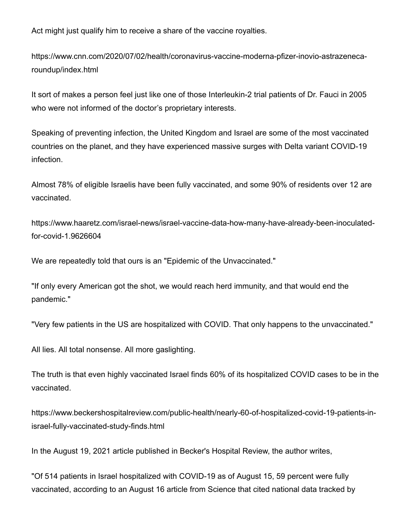Act might just qualify him to receive a share of the vaccine royalties.

https://www.cnn.com/2020/07/02/health/coronavirus-vaccine-moderna-pfizer-inovio-astrazenecaroundup/index.html

It sort of makes a person feel just like one of those Interleukin-2 trial patients of Dr. Fauci in 2005 who were not informed of the doctor's proprietary interests.

Speaking of preventing infection, the United Kingdom and Israel are some of the most vaccinated countries on the planet, and they have experienced massive surges with Delta variant COVID-19 infection.

Almost 78% of eligible Israelis have been fully vaccinated, and some 90% of residents over 12 are vaccinated.

https://www.haaretz.com/israel-news/israel-vaccine-data-how-many-have-already-been-inoculatedfor-covid-1.9626604

We are repeatedly told that ours is an "Epidemic of the Unvaccinated."

"If only every American got the shot, we would reach herd immunity, and that would end the pandemic."

"Very few patients in the US are hospitalized with COVID. That only happens to the unvaccinated."

All lies. All total nonsense. All more gaslighting.

The truth is that even highly vaccinated Israel finds 60% of its hospitalized COVID cases to be in the vaccinated.

https://www.beckershospitalreview.com/public-health/nearly-60-of-hospitalized-covid-19-patients-inisrael-fully-vaccinated-study-finds.html

In the August 19, 2021 article published in Becker's Hospital Review, the author writes,

"Of 514 patients in Israel hospitalized with COVID-19 as of August 15, 59 percent were fully vaccinated, according to an August 16 article from Science that cited national data tracked by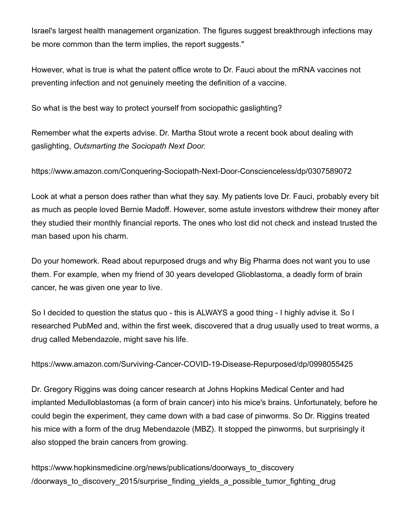Israel's largest health management organization. The figures suggest breakthrough infections may be more common than the term implies, the report suggests."

However, what is true is what the patent office wrote to Dr. Fauci about the mRNA vaccines not preventing infection and not genuinely meeting the definition of a vaccine.

So what is the best way to protect yourself from sociopathic gaslighting?

Remember what the experts advise. Dr. Martha Stout wrote a recent book about dealing with gaslighting, *Outsmarting the Sociopath Next Door.*

https://www.amazon.com/Conquering-Sociopath-Next-Door-Conscienceless/dp/0307589072

Look at what a person does rather than what they say. My patients love Dr. Fauci, probably every bit as much as people loved Bernie Madoff. However, some astute investors withdrew their money after they studied their monthly financial reports. The ones who lost did not check and instead trusted the man based upon his charm.

Do your homework. Read about repurposed drugs and why Big Pharma does not want you to use them. For example, when my friend of 30 years developed Glioblastoma, a deadly form of brain cancer, he was given one year to live.

So I decided to question the status quo - this is ALWAYS a good thing - I highly advise it. So I researched PubMed and, within the first week, discovered that a drug usually used to treat worms, a drug called Mebendazole, might save his life.

https://www.amazon.com/Surviving-Cancer-COVID-19-Disease-Repurposed/dp/0998055425

Dr. Gregory Riggins was doing cancer research at Johns Hopkins Medical Center and had implanted Medulloblastomas (a form of brain cancer) into his mice's brains. Unfortunately, before he could begin the experiment, they came down with a bad case of pinworms. So Dr. Riggins treated his mice with a form of the drug Mebendazole (MBZ). It stopped the pinworms, but surprisingly it also stopped the brain cancers from growing.

https://www.hopkinsmedicine.org/news/publications/doorways\_to\_discovery /doorways\_to\_discovery\_2015/surprise\_finding\_yields\_a\_possible\_tumor\_fighting\_drug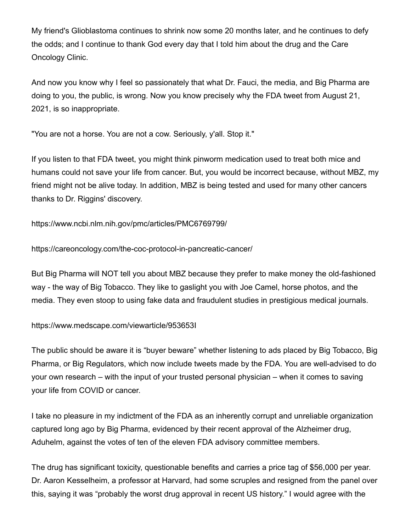My friend's Glioblastoma continues to shrink now some 20 months later, and he continues to defy the odds; and I continue to thank God every day that I told him about the drug and the Care Oncology Clinic.

And now you know why I feel so passionately that what Dr. Fauci, the media, and Big Pharma are doing to you, the public, is wrong. Now you know precisely why the FDA tweet from August 21, 2021, is so inappropriate.

"You are not a horse. You are not a cow. Seriously, y'all. Stop it."

If you listen to that FDA tweet, you might think pinworm medication used to treat both mice and humans could not save your life from cancer. But, you would be incorrect because, without MBZ, my friend might not be alive today. In addition, MBZ is being tested and used for many other cancers thanks to Dr. Riggins' discovery.

https://www.ncbi.nlm.nih.gov/pmc/articles/PMC6769799/

https://careoncology.com/the-coc-protocol-in-pancreatic-cancer/

But Big Pharma will NOT tell you about MBZ because they prefer to make money the old-fashioned way - the way of Big Tobacco. They like to gaslight you with Joe Camel, horse photos, and the media. They even stoop to using fake data and fraudulent studies in prestigious medical journals.

https://www.medscape.com/viewarticle/953653I

The public should be aware it is "buyer beware" whether listening to ads placed by Big Tobacco, Big Pharma, or Big Regulators, which now include tweets made by the FDA. You are well-advised to do your own research – with the input of your trusted personal physician – when it comes to saving your life from COVID or cancer.

I take no pleasure in my indictment of the FDA as an inherently corrupt and unreliable organization captured long ago by Big Pharma, evidenced by their recent approval of the Alzheimer drug, Aduhelm, against the votes of ten of the eleven FDA advisory committee members.

The drug has significant toxicity, questionable benefits and carries a price tag of \$56,000 per year. Dr. Aaron Kesselheim, a professor at Harvard, had some scruples and resigned from the panel over this, saying it was "probably the worst drug approval in recent US history." I would agree with the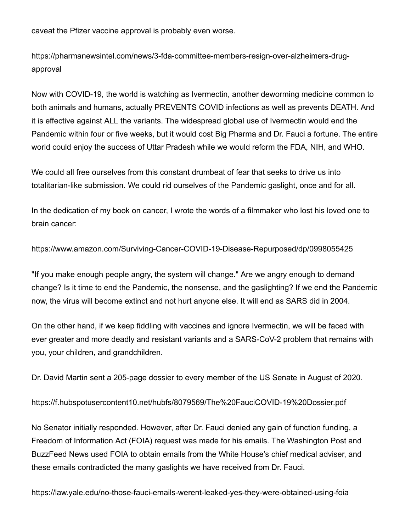caveat the Pfizer vaccine approval is probably even worse.

https://pharmanewsintel.com/news/3-fda-committee-members-resign-over-alzheimers-drugapproval

Now with COVID-19, the world is watching as Ivermectin, another deworming medicine common to both animals and humans, actually PREVENTS COVID infections as well as prevents DEATH. And it is effective against ALL the variants. The widespread global use of Ivermectin would end the Pandemic within four or five weeks, but it would cost Big Pharma and Dr. Fauci a fortune. The entire world could enjoy the success of Uttar Pradesh while we would reform the FDA, NIH, and WHO.

We could all free ourselves from this constant drumbeat of fear that seeks to drive us into totalitarian-like submission. We could rid ourselves of the Pandemic gaslight, once and for all.

In the dedication of my book on cancer, I wrote the words of a filmmaker who lost his loved one to brain cancer:

https://www.amazon.com/Surviving-Cancer-COVID-19-Disease-Repurposed/dp/0998055425

"If you make enough people angry, the system will change." Are we angry enough to demand change? Is it time to end the Pandemic, the nonsense, and the gaslighting? If we end the Pandemic now, the virus will become extinct and not hurt anyone else. It will end as SARS did in 2004.

On the other hand, if we keep fiddling with vaccines and ignore Ivermectin, we will be faced with ever greater and more deadly and resistant variants and a SARS-CoV-2 problem that remains with you, your children, and grandchildren.

Dr. David Martin sent a 205-page dossier to every member of the US Senate in August of 2020.

https://f.hubspotusercontent10.net/hubfs/8079569/The%20FauciCOVID-19%20Dossier.pdf

No Senator initially responded. However, after Dr. Fauci denied any gain of function funding, a Freedom of Information Act (FOIA) request was made for his emails. The Washington Post and BuzzFeed News used FOIA to obtain emails from the White House's chief medical adviser, and these emails contradicted the many gaslights we have received from Dr. Fauci.

https://law.yale.edu/no-those-fauci-emails-werent-leaked-yes-they-were-obtained-using-foia